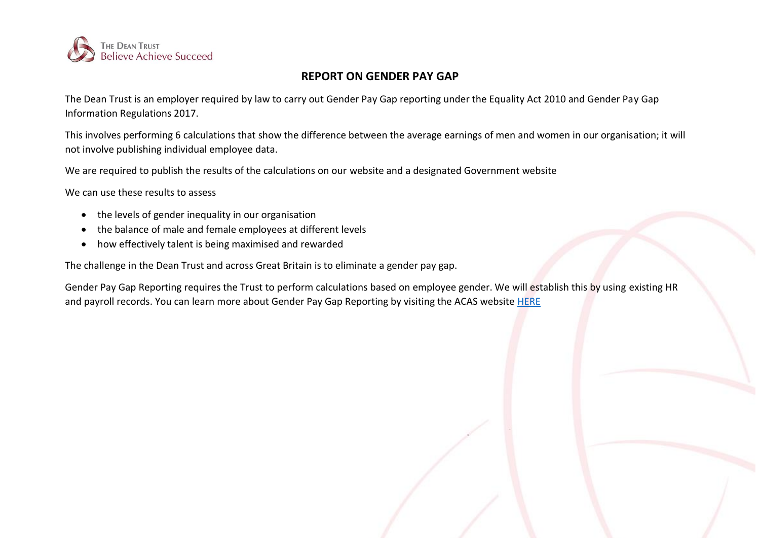

## **REPORT ON GENDER PAY GAP**

The Dean Trust is an employer required by law to carry out Gender Pay Gap reporting under the Equality Act 2010 and Gender Pay Gap Information Regulations 2017.

This involves performing 6 calculations that show the difference between the average earnings of men and women in our organisation; it will not involve publishing individual employee data.

We are required to publish the results of the calculations on our website and a designated Government website

We can use these results to assess

- the levels of gender inequality in our organisation
- the balance of male and female employees at different levels
- how effectively talent is being maximised and rewarded

The challenge in the Dean Trust and across Great Britain is to eliminate a gender pay gap.

Gender Pay Gap Reporting requires the Trust to perform calculations based on employee gender. We will establish this by using existing HR and payroll records. You can learn more about Gender Pay Gap Reporting by visiting the ACAS website [HERE](http://www.acas.org.uk/index.aspx?articleid=5768)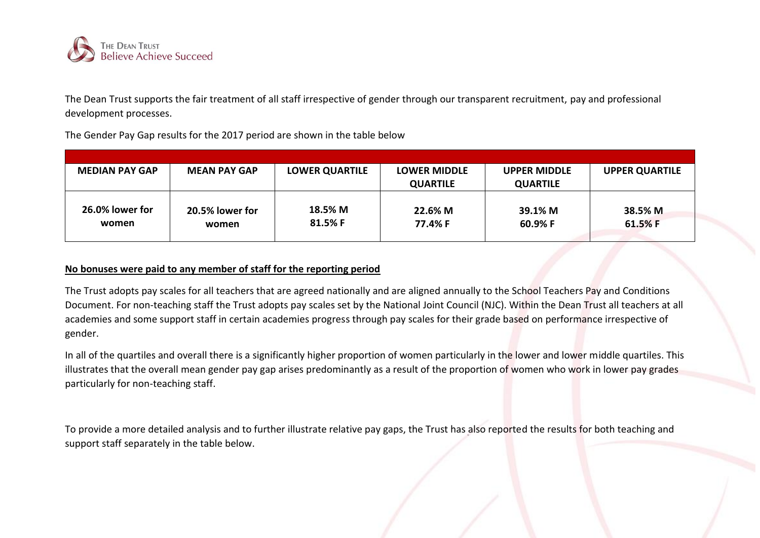

The Dean Trust supports the fair treatment of all staff irrespective of gender through our transparent recruitment, pay and professional development processes.

The Gender Pay Gap results for the 2017 period are shown in the table below

| <b>MEDIAN PAY GAP</b>    | <b>MEAN PAY GAP</b>      | <b>LOWER QUARTILE</b> | <b>LOWER MIDDLE</b> | <b>UPPER MIDDLE</b> | <b>UPPER QUARTILE</b> |
|--------------------------|--------------------------|-----------------------|---------------------|---------------------|-----------------------|
|                          |                          |                       | <b>QUARTILE</b>     | <b>QUARTILE</b>     |                       |
| 26.0% lower for<br>women | 20.5% lower for<br>women | 18.5% M<br>81.5% F    | 22.6% M<br>77.4% F  | 39.1% M<br>60.9% F  | 38.5% M<br>61.5%F     |

## **No bonuses were paid to any member of staff for the reporting period**

The Trust adopts pay scales for all teachers that are agreed nationally and are aligned annually to the School Teachers Pay and Conditions Document. For non-teaching staff the Trust adopts pay scales set by the National Joint Council (NJC). Within the Dean Trust all teachers at all academies and some support staff in certain academies progress through pay scales for their grade based on performance irrespective of gender.

In all of the quartiles and overall there is a significantly higher proportion of women particularly in the lower and lower middle quartiles. This illustrates that the overall mean gender pay gap arises predominantly as a result of the proportion of women who work in lower pay grades particularly for non-teaching staff.

To provide a more detailed analysis and to further illustrate relative pay gaps, the Trust has also reported the results for both teaching and support staff separately in the table below.